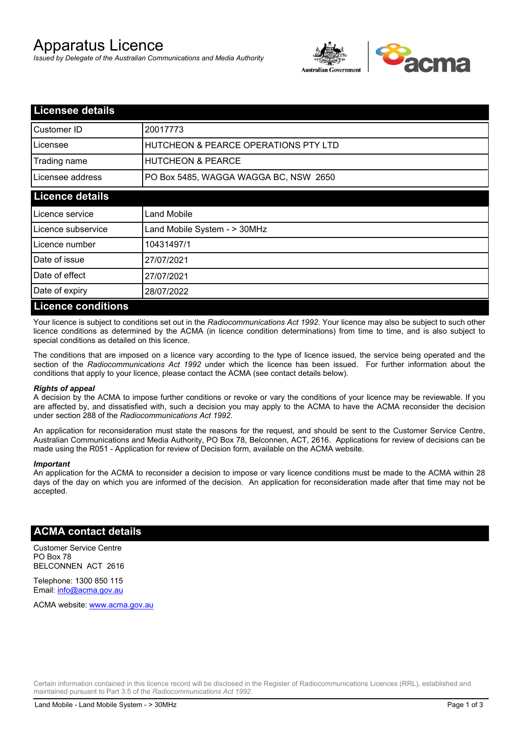# Apparatus Licence

*Issued by Delegate of the Australian Communications and Media Authority*



| <b>Licensee details</b>   |                                                 |
|---------------------------|-------------------------------------------------|
| Customer ID               | 20017773                                        |
| Licensee                  | <b>HUTCHEON &amp; PEARCE OPERATIONS PTY LTD</b> |
| Trading name              | <b>HUTCHEON &amp; PEARCE</b>                    |
| Licensee address          | PO Box 5485, WAGGA WAGGA BC, NSW 2650           |
| <b>Licence details</b>    |                                                 |
| Licence service           | Land Mobile                                     |
| Licence subservice        | Land Mobile System - > 30MHz                    |
| Licence number            | 10431497/1                                      |
| Date of issue             | 27/07/2021                                      |
| Date of effect            | 27/07/2021                                      |
| Date of expiry            | 28/07/2022                                      |
| <b>Licence conditions</b> |                                                 |

Your licence is subject to conditions set out in the *Radiocommunications Act 1992*. Your licence may also be subject to such other licence conditions as determined by the ACMA (in licence condition determinations) from time to time, and is also subject to special conditions as detailed on this licence.

The conditions that are imposed on a licence vary according to the type of licence issued, the service being operated and the section of the *Radiocommunications Act 1992* under which the licence has been issued. For further information about the conditions that apply to your licence, please contact the ACMA (see contact details below).

#### *Rights of appeal*

A decision by the ACMA to impose further conditions or revoke or vary the conditions of your licence may be reviewable. If you are affected by, and dissatisfied with, such a decision you may apply to the ACMA to have the ACMA reconsider the decision under section 288 of the *Radiocommunications Act 1992*.

An application for reconsideration must state the reasons for the request, and should be sent to the Customer Service Centre, Australian Communications and Media Authority, PO Box 78, Belconnen, ACT, 2616. Applications for review of decisions can be made using the R051 - Application for review of Decision form, available on the ACMA website.

#### *Important*

An application for the ACMA to reconsider a decision to impose or vary licence conditions must be made to the ACMA within 28 days of the day on which you are informed of the decision. An application for reconsideration made after that time may not be accepted.

### **ACMA contact details**

Customer Service Centre PO Box 78 BELCONNEN ACT 2616

Telephone: 1300 850 115 Email: info@acma.gov.au

ACMA website: www.acma.gov.au

Certain information contained in this licence record will be disclosed in the Register of Radiocommunications Licences (RRL), established and maintained pursuant to Part 3.5 of the *Radiocommunications Act 1992.*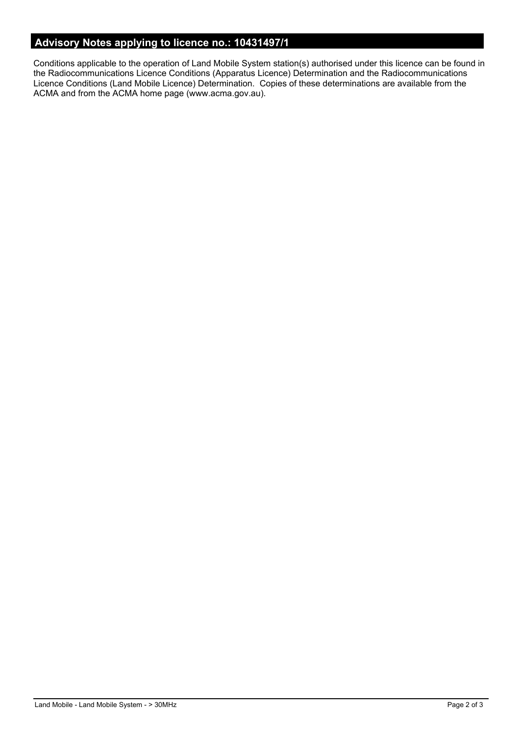# **Advisory Notes applying to licence no.: 10431497/1**

Conditions applicable to the operation of Land Mobile System station(s) authorised under this licence can be found in the Radiocommunications Licence Conditions (Apparatus Licence) Determination and the Radiocommunications Licence Conditions (Land Mobile Licence) Determination. Copies of these determinations are available from the ACMA and from the ACMA home page (www.acma.gov.au).